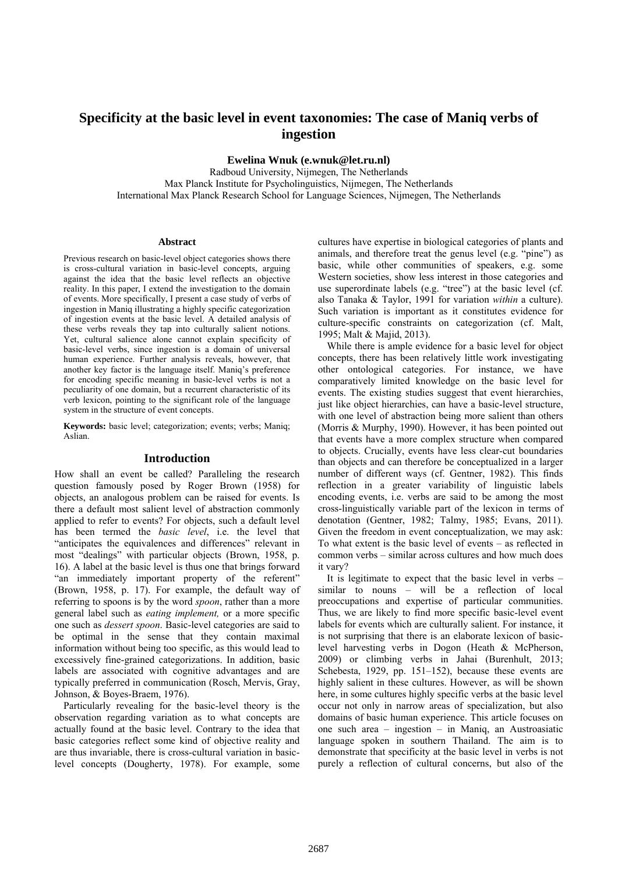# **Specificity at the basic level in event taxonomies: The case of Maniq verbs of ingestion**

**Ewelina Wnuk (e.wnuk@let.ru.nl)** 

Radboud University, Nijmegen, The Netherlands Max Planck Institute for Psycholinguistics, Nijmegen, The Netherlands International Max Planck Research School for Language Sciences, Nijmegen, The Netherlands

#### **Abstract**

Previous research on basic-level object categories shows there is cross-cultural variation in basic-level concepts, arguing against the idea that the basic level reflects an objective reality. In this paper, I extend the investigation to the domain of events. More specifically, I present a case study of verbs of ingestion in Maniq illustrating a highly specific categorization of ingestion events at the basic level. A detailed analysis of these verbs reveals they tap into culturally salient notions. Yet, cultural salience alone cannot explain specificity of basic-level verbs, since ingestion is a domain of universal human experience. Further analysis reveals, however, that another key factor is the language itself. Maniq's preference for encoding specific meaning in basic-level verbs is not a peculiarity of one domain, but a recurrent characteristic of its verb lexicon, pointing to the significant role of the language system in the structure of event concepts.

**Keywords:** basic level; categorization; events; verbs; Maniq; Aslian.

## **Introduction**

How shall an event be called? Paralleling the research question famously posed by Roger Brown (1958) for objects, an analogous problem can be raised for events. Is there a default most salient level of abstraction commonly applied to refer to events? For objects, such a default level has been termed the *basic level*, i.e. the level that "anticipates the equivalences and differences" relevant in most "dealings" with particular objects (Brown, 1958, p. 16). A label at the basic level is thus one that brings forward "an immediately important property of the referent" (Brown, 1958, p. 17). For example, the default way of referring to spoons is by the word *spoon*, rather than a more general label such as *eating implement,* or a more specific one such as *dessert spoon*. Basic-level categories are said to be optimal in the sense that they contain maximal information without being too specific, as this would lead to excessively fine-grained categorizations. In addition, basic labels are associated with cognitive advantages and are typically preferred in communication (Rosch, Mervis, Gray, Johnson, & Boyes-Braem, 1976).

Particularly revealing for the basic-level theory is the observation regarding variation as to what concepts are actually found at the basic level. Contrary to the idea that basic categories reflect some kind of objective reality and are thus invariable, there is cross-cultural variation in basiclevel concepts (Dougherty, 1978). For example, some cultures have expertise in biological categories of plants and animals, and therefore treat the genus level (e.g. "pine") as basic, while other communities of speakers, e.g. some Western societies, show less interest in those categories and use superordinate labels (e.g. "tree") at the basic level (cf. also Tanaka & Taylor, 1991 for variation *within* a culture). Such variation is important as it constitutes evidence for culture-specific constraints on categorization (cf. Malt, 1995; Malt & Majid, 2013).

While there is ample evidence for a basic level for object concepts, there has been relatively little work investigating other ontological categories. For instance, we have comparatively limited knowledge on the basic level for events. The existing studies suggest that event hierarchies, just like object hierarchies, can have a basic-level structure, with one level of abstraction being more salient than others (Morris & Murphy, 1990). However, it has been pointed out that events have a more complex structure when compared to objects. Crucially, events have less clear-cut boundaries than objects and can therefore be conceptualized in a larger number of different ways (cf. Gentner, 1982). This finds reflection in a greater variability of linguistic labels encoding events, i.e. verbs are said to be among the most cross-linguistically variable part of the lexicon in terms of denotation (Gentner, 1982; Talmy, 1985; Evans, 2011). Given the freedom in event conceptualization, we may ask: To what extent is the basic level of events – as reflected in common verbs – similar across cultures and how much does it vary?

It is legitimate to expect that the basic level in verbs – similar to nouns – will be a reflection of local preoccupations and expertise of particular communities. Thus, we are likely to find more specific basic-level event labels for events which are culturally salient. For instance, it is not surprising that there is an elaborate lexicon of basiclevel harvesting verbs in Dogon (Heath & McPherson, 2009) or climbing verbs in Jahai (Burenhult, 2013; Schebesta, 1929, pp. 151–152), because these events are highly salient in these cultures. However, as will be shown here, in some cultures highly specific verbs at the basic level occur not only in narrow areas of specialization, but also domains of basic human experience. This article focuses on one such area – ingestion – in Maniq, an Austroasiatic language spoken in southern Thailand. The aim is to demonstrate that specificity at the basic level in verbs is not purely a reflection of cultural concerns, but also of the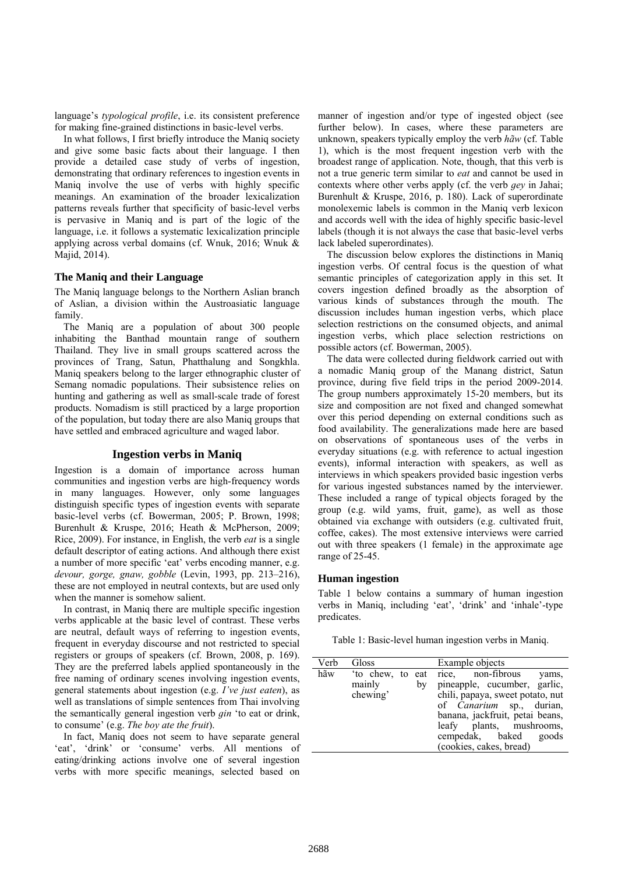language's *typological profile*, i.e. its consistent preference for making fine-grained distinctions in basic-level verbs.

In what follows, I first briefly introduce the Maniq society and give some basic facts about their language. I then provide a detailed case study of verbs of ingestion, demonstrating that ordinary references to ingestion events in Maniq involve the use of verbs with highly specific meanings. An examination of the broader lexicalization patterns reveals further that specificity of basic-level verbs is pervasive in Maniq and is part of the logic of the language, i.e. it follows a systematic lexicalization principle applying across verbal domains (cf. Wnuk, 2016; Wnuk & Majid, 2014).

## **The Maniq and their Language**

The Maniq language belongs to the Northern Aslian branch of Aslian, a division within the Austroasiatic language family.

The Maniq are a population of about 300 people inhabiting the Banthad mountain range of southern Thailand. They live in small groups scattered across the provinces of Trang, Satun, Phatthalung and Songkhla. Maniq speakers belong to the larger ethnographic cluster of Semang nomadic populations. Their subsistence relies on hunting and gathering as well as small-scale trade of forest products. Nomadism is still practiced by a large proportion of the population, but today there are also Maniq groups that have settled and embraced agriculture and waged labor.

## **Ingestion verbs in Maniq**

Ingestion is a domain of importance across human communities and ingestion verbs are high-frequency words in many languages. However, only some languages distinguish specific types of ingestion events with separate basic-level verbs (cf. Bowerman, 2005; P. Brown, 1998; Burenhult & Kruspe, 2016; Heath & McPherson, 2009; Rice, 2009). For instance, in English, the verb *eat* is a single default descriptor of eating actions. And although there exist a number of more specific 'eat' verbs encoding manner, e.g. *devour, gorge, gnaw, gobble* (Levin, 1993, pp. 213–216), these are not employed in neutral contexts, but are used only when the manner is somehow salient.

In contrast, in Maniq there are multiple specific ingestion verbs applicable at the basic level of contrast. These verbs are neutral, default ways of referring to ingestion events, frequent in everyday discourse and not restricted to special registers or groups of speakers (cf. Brown, 2008, p. 169). They are the preferred labels applied spontaneously in the free naming of ordinary scenes involving ingestion events, general statements about ingestion (e.g. *I've just eaten*), as well as translations of simple sentences from Thai involving the semantically general ingestion verb *ɡin* 'to eat or drink, to consume' (e.g. *The boy ate the fruit*).

In fact, Maniq does not seem to have separate general 'eat', 'drink' or 'consume' verbs. All mentions of eating/drinking actions involve one of several ingestion verbs with more specific meanings, selected based on

manner of ingestion and/or type of ingested object (see further below). In cases, where these parameters are unknown, speakers typically employ the verb *hãw* (cf. Table 1), which is the most frequent ingestion verb with the broadest range of application. Note, though, that this verb is not a true generic term similar to *eat* and cannot be used in contexts where other verbs apply (cf. the verb *ɡey* in Jahai; Burenhult & Kruspe, 2016, p. 180). Lack of superordinate monolexemic labels is common in the Maniq verb lexicon and accords well with the idea of highly specific basic-level labels (though it is not always the case that basic-level verbs lack labeled superordinates).

The discussion below explores the distinctions in Maniq ingestion verbs. Of central focus is the question of what semantic principles of categorization apply in this set. It covers ingestion defined broadly as the absorption of various kinds of substances through the mouth. The discussion includes human ingestion verbs, which place selection restrictions on the consumed objects, and animal ingestion verbs, which place selection restrictions on possible actors (cf. Bowerman, 2005).

The data were collected during fieldwork carried out with a nomadic Maniq group of the Manang district, Satun province, during five field trips in the period 2009-2014. The group numbers approximately 15-20 members, but its size and composition are not fixed and changed somewhat over this period depending on external conditions such as food availability. The generalizations made here are based on observations of spontaneous uses of the verbs in everyday situations (e.g. with reference to actual ingestion events), informal interaction with speakers, as well as interviews in which speakers provided basic ingestion verbs for various ingested substances named by the interviewer. These included a range of typical objects foraged by the group (e.g. wild yams, fruit, game), as well as those obtained via exchange with outsiders (e.g. cultivated fruit, coffee, cakes). The most extensive interviews were carried out with three speakers (1 female) in the approximate age range of 25-45.

## **Human ingestion**

Table 1 below contains a summary of human ingestion verbs in Maniq, including 'eat', 'drink' and 'inhale'-type predicates.

Table 1: Basic-level human ingestion verbs in Maniq.

| Verb | Gloss                                        | Example objects                                                                                                                                                                                                                                      |
|------|----------------------------------------------|------------------------------------------------------------------------------------------------------------------------------------------------------------------------------------------------------------------------------------------------------|
| hãw  | 'to chew, to eat<br>mainly<br>by<br>chewing' | rice, non-fibrous<br>yams,<br>pineapple, cucumber, garlic,<br>chili, papaya, sweet potato, nut<br>of <i>Canarium</i> sp., durian,<br>banana, jackfruit, petai beans,<br>leafy plants, mushrooms,<br>cempedak, baked goods<br>(cookies, cakes, bread) |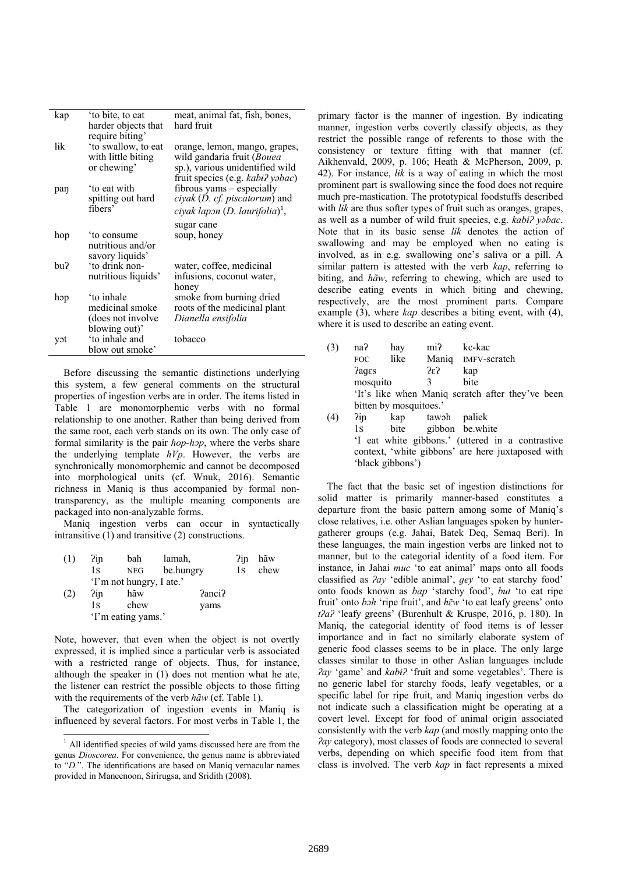| kap | to bite, to eat     | meat, animal fat, fish, bones,             |
|-----|---------------------|--------------------------------------------|
|     | harder objects that | hard fruit                                 |
|     | require biting'     |                                            |
| lik | 'to swallow, to eat | orange, lemon, mango, grapes,              |
|     | with little biting  | wild gandaria fruit (Bouea                 |
|     | or chewing'         | sp.), various unidentified wild            |
|     |                     | fruit species (e.g. kabi? yəbac)           |
| paŋ | to eat with         | fibrous yams – especially                  |
|     | spitting out hard   | ciyak (D. cf. piscatorum) and              |
|     | fibers'             | ciyak lapon (D. laurifolia) <sup>1</sup> , |
|     |                     | sugar cane                                 |
| hop | to consume          | soup, honey                                |
|     | nutritious and/or   |                                            |
|     | savory liquids'     |                                            |
| bu? | 'to drink non-      | water, coffee, medicinal                   |
|     | nutritious liquids' | infusions, coconut water,                  |
|     |                     | honey                                      |
| hop | 'to inhale          | smoke from burning dried                   |
|     | medicinal smoke     | roots of the medicinal plant               |
|     | (does not involve)  | Dianella ensifolia                         |
|     | blowing out)'       |                                            |
| yɔt | 'to inhale and      | tobacco                                    |
|     | blow out smoke'     |                                            |

Before discussing the semantic distinctions underlying this system, a few general comments on the structural properties of ingestion verbs are in order. The items listed in Table 1 are monomorphemic verbs with no formal relationship to one another. Rather than being derived from the same root, each verb stands on its own. The only case of formal similarity is the pair *hop-hɔp*, where the verbs share the underlying template *hVp*. However, the verbs are synchronically monomorphemic and cannot be decomposed into morphological units (cf. Wnuk, 2016). Semantic richness in Maniq is thus accompanied by formal nontransparency, as the multiple meaning components are packaged into non-analyzable forms.

Maniq ingestion verbs can occur in syntactically intransitive (1) and transitive (2) constructions.

| (1) | ?in                | bah                      | lamah.    | ?in | hãw  |
|-----|--------------------|--------------------------|-----------|-----|------|
|     | 1s                 | NEG                      | be.hungry | 1s  | chew |
|     |                    | 'I'm not hungry, I ate.' |           |     |      |
| (2) | ?in                | hãw                      | Panci?    |     |      |
|     | 1s                 | chew                     | yams      |     |      |
|     | 'I'm eating yams.' |                          |           |     |      |

Note, however, that even when the object is not overtly expressed, it is implied since a particular verb is associated with a restricted range of objects. Thus, for instance, although the speaker in (1) does not mention what he ate, the listener can restrict the possible objects to those fitting with the requirements of the verb *hãw* (cf. Table 1).

The categorization of ingestion events in Maniq is influenced by several factors. For most verbs in Table 1, the

 $\overline{a}$ 

primary factor is the manner of ingestion. By indicating manner, ingestion verbs covertly classify objects, as they restrict the possible range of referents to those with the consistency or texture fitting with that manner (cf. Aikhenvald, 2009, p. 106; Heath & McPherson, 2009, p. 42). For instance, *lɨk* is a way of eating in which the most prominent part is swallowing since the food does not require much pre-mastication. The prototypical foodstuffs described with *lik* are thus softer types of fruit such as oranges, grapes, as well as a number of wild fruit species, e.g. *kabɨʔ yəbac*. Note that in its basic sense *lɨk* denotes the action of swallowing and may be employed when no eating is involved, as in e.g. swallowing one's saliva or a pill. A similar pattern is attested with the verb *kap*, referring to biting, and *hãw*, referring to chewing, which are used to describe eating events in which biting and chewing, respectively, are the most prominent parts. Compare example (3), where *kap* describes a biting event, with (4), where it is used to describe an eating event.

| (3) | na?                                               | hay                    | mi?                  | kc-kac                                           |  |
|-----|---------------------------------------------------|------------------------|----------------------|--------------------------------------------------|--|
|     | FOC.                                              | like                   |                      | Maniq IMFV-scratch                               |  |
|     | <b>Pages</b>                                      |                        | $2\epsilon$          | kap                                              |  |
|     | mosquito                                          |                        | $\mathcal{E}$        | bite                                             |  |
|     |                                                   |                        |                      | 'It's like when Maniq scratch after they've been |  |
|     |                                                   | bitten by mosquitoes.' |                      |                                                  |  |
| (4) | ?in                                               |                        | kap tawoh            | paliek                                           |  |
|     | 1s                                                |                        | bite gibbon be white |                                                  |  |
|     |                                                   |                        |                      | 'I eat white gibbons.' (uttered in a contrastive |  |
|     | context, 'white gibbons' are here juxtaposed with |                        |                      |                                                  |  |
|     |                                                   | 'black gibbons')       |                      |                                                  |  |

The fact that the basic set of ingestion distinctions for solid matter is primarily manner-based constitutes a departure from the basic pattern among some of Maniq's close relatives, i.e. other Aslian languages spoken by huntergatherer groups (e.g. Jahai, Batek Deq, Semaq Beri). In these languages, the main ingestion verbs are linked not to manner, but to the categorial identity of a food item. For instance, in Jahai *muc* 'to eat animal' maps onto all foods classified as *ʔay* 'edible animal', *ɡey* 'to eat starchy food' onto foods known as *bap* 'starchy food', *but* 'to eat ripe fruit' onto *bɔh* 'ripe fruit', and *hɛ̃ w* 'to eat leafy greens' onto *tʔaʔ* 'leafy greens' (Burenhult & Kruspe, 2016, p. 180). In Maniq, the categorial identity of food items is of lesser importance and in fact no similarly elaborate system of generic food classes seems to be in place. The only large classes similar to those in other Aslian languages include *ʔay* 'game' and *kabɨʔ* 'fruit and some vegetables'. There is no generic label for starchy foods, leafy vegetables, or a specific label for ripe fruit, and Maniq ingestion verbs do not indicate such a classification might be operating at a covert level. Except for food of animal origin associated consistently with the verb *kap* (and mostly mapping onto the *ʔay* category), most classes of foods are connected to several verbs, depending on which specific food item from that class is involved. The verb *kap* in fact represents a mixed

<sup>&</sup>lt;sup>1</sup> All identified species of wild yams discussed here are from the genus *Dioscorea*. For convenience, the genus name is abbreviated to "*D.*". The identifications are based on Maniq vernacular names provided in Maneenoon, Sirirugsa, and Sridith (2008).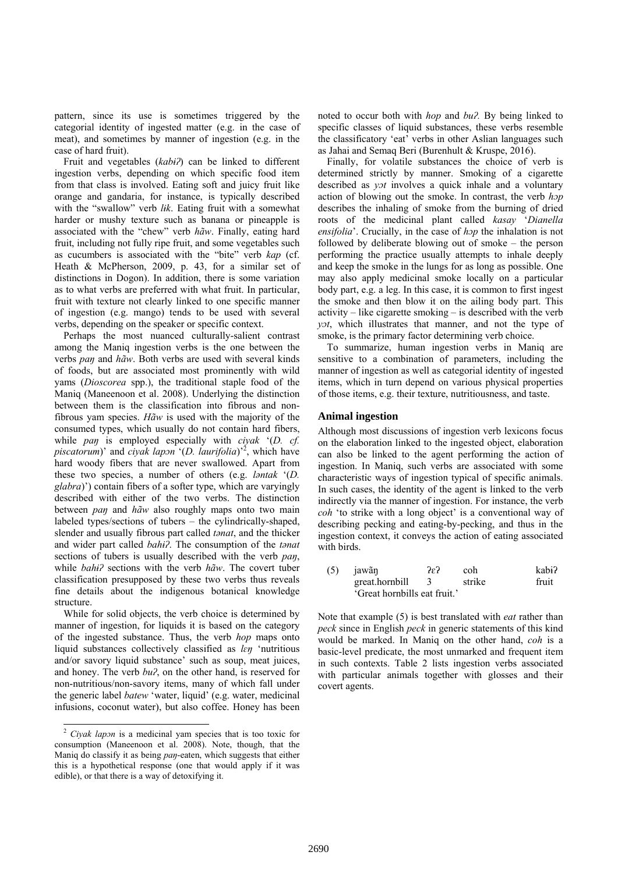pattern, since its use is sometimes triggered by the categorial identity of ingested matter (e.g. in the case of meat), and sometimes by manner of ingestion (e.g. in the case of hard fruit).

Fruit and vegetables (*kabɨʔ*) can be linked to different ingestion verbs, depending on which specific food item from that class is involved. Eating soft and juicy fruit like orange and gandaria, for instance, is typically described with the "swallow" verb *lɨk*. Eating fruit with a somewhat harder or mushy texture such as banana or pineapple is associated with the "chew" verb *hãw*. Finally, eating hard fruit, including not fully ripe fruit, and some vegetables such as cucumbers is associated with the "bite" verb *kap* (cf. Heath & McPherson, 2009, p. 43, for a similar set of distinctions in Dogon). In addition, there is some variation as to what verbs are preferred with what fruit. In particular, fruit with texture not clearly linked to one specific manner of ingestion (e.g. mango) tends to be used with several verbs, depending on the speaker or specific context.

Perhaps the most nuanced culturally-salient contrast among the Maniq ingestion verbs is the one between the verbs *paŋ* and *hãw*. Both verbs are used with several kinds of foods, but are associated most prominently with wild yams (*Dioscorea* spp.), the traditional staple food of the Maniq (Maneenoon et al. 2008). Underlying the distinction between them is the classification into fibrous and nonfibrous yam species. *Hãw* is used with the majority of the consumed types, which usually do not contain hard fibers, while *pan* is employed especially with *ciyak* '(*D. cf. piscatorum*)' and *ciyak lapɔn* '(*D. laurifolia*)'2 , which have hard woody fibers that are never swallowed. Apart from these two species, a number of others (e.g. *ləntak* '(*D. glabra*)') contain fibers of a softer type, which are varyingly described with either of the two verbs. The distinction between *paŋ* and *hãw* also roughly maps onto two main labeled types/sections of tubers – the cylindrically-shaped, slender and usually fibrous part called *tənat*, and the thicker and wider part called *bahɨʔ*. The consumption of the *tənat*  sections of tubers is usually described with the verb *paŋ*, while *bahɨʔ* sections with the verb *hãw*. The covert tuber classification presupposed by these two verbs thus reveals fine details about the indigenous botanical knowledge structure.

While for solid objects, the verb choice is determined by manner of ingestion, for liquids it is based on the category of the ingested substance. Thus, the verb *hop* maps onto liquid substances collectively classified as *lɛŋ* 'nutritious and/or savory liquid substance' such as soup, meat juices, and honey. The verb *buʔ*, on the other hand, is reserved for non-nutritious/non-savory items, many of which fall under the generic label *batew* 'water, liquid' (e.g. water, medicinal infusions, coconut water), but also coffee. Honey has been

 $\overline{a}$ 

noted to occur both with *hop* and *buʔ.* By being linked to specific classes of liquid substances, these verbs resemble the classificatory 'eat' verbs in other Aslian languages such as Jahai and Semaq Beri (Burenhult & Kruspe, 2016).

Finally, for volatile substances the choice of verb is determined strictly by manner. Smoking of a cigarette described as *yɔt* involves a quick inhale and a voluntary action of blowing out the smoke. In contrast, the verb *hɔp* describes the inhaling of smoke from the burning of dried roots of the medicinal plant called *kasay* '*Dianella ensifolia*'. Crucially, in the case of *hɔp* the inhalation is not followed by deliberate blowing out of smoke – the person performing the practice usually attempts to inhale deeply and keep the smoke in the lungs for as long as possible. One may also apply medicinal smoke locally on a particular body part, e.g. a leg. In this case, it is common to first ingest the smoke and then blow it on the ailing body part. This activity – like cigarette smoking – is described with the verb *yɔt*, which illustrates that manner, and not the type of smoke, is the primary factor determining verb choice.

To summarize, human ingestion verbs in Maniq are sensitive to a combination of parameters, including the manner of ingestion as well as categorial identity of ingested items, which in turn depend on various physical properties of those items, e.g. their texture, nutritiousness, and taste.

## **Animal ingestion**

Although most discussions of ingestion verb lexicons focus on the elaboration linked to the ingested object, elaboration can also be linked to the agent performing the action of ingestion. In Maniq, such verbs are associated with some characteristic ways of ingestion typical of specific animals. In such cases, the identity of the agent is linked to the verb indirectly via the manner of ingestion. For instance, the verb *coh* 'to strike with a long object' is a conventional way of describing pecking and eating-by-pecking, and thus in the ingestion context, it conveys the action of eating associated with birds.

| $(5)$ jawãn                  | 2ε? | coh    | kabi? |
|------------------------------|-----|--------|-------|
| great.hornbill               | -3  | strike | fruit |
| 'Great hornbills eat fruit.' |     |        |       |

Note that example (5) is best translated with *eat* rather than *peck* since in English *peck* in generic statements of this kind would be marked. In Maniq on the other hand, *coh* is a basic-level predicate, the most unmarked and frequent item in such contexts. Table 2 lists ingestion verbs associated with particular animals together with glosses and their covert agents.

<sup>2</sup> *Ciyak lapɔn* is a medicinal yam species that is too toxic for consumption (Maneenoon et al. 2008). Note, though, that the Maniq do classify it as being *paŋ*-eaten, which suggests that either this is a hypothetical response (one that would apply if it was edible), or that there is a way of detoxifying it.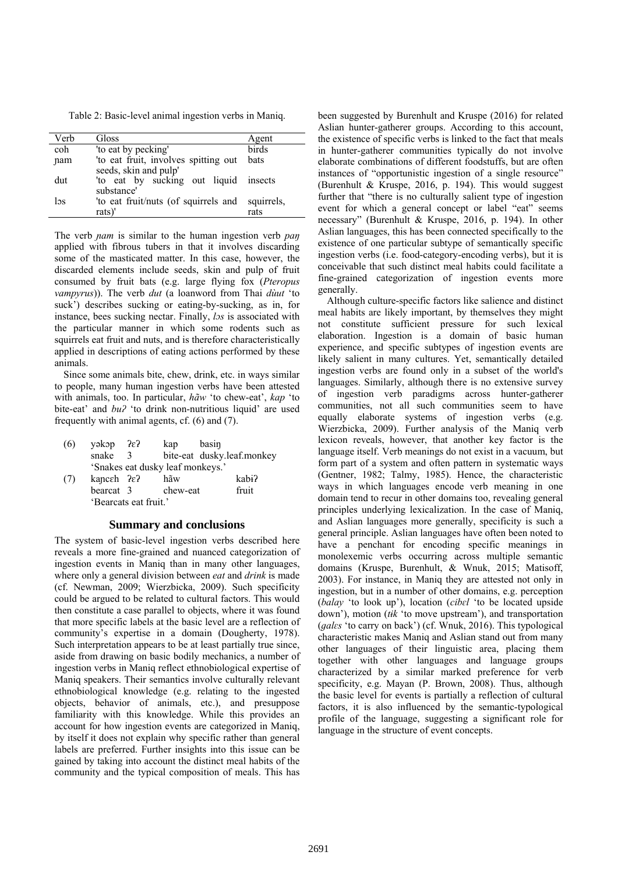Table 2: Basic-level animal ingestion verbs in Maniq.

| Verb | Gloss                                 | Agent      |
|------|---------------------------------------|------------|
| coh  | 'to eat by pecking'                   | birds      |
| nam  | 'to eat fruit, involves spitting out  | bats       |
|      | seeds, skin and pulp'                 |            |
| dut  | 'to eat by sucking out liquid insects |            |
|      | substance'                            |            |
| ləs  | 'to eat fruit/nuts (of squirrels and  | squirrels, |
|      | rats)'                                | rats       |

The verb *nam* is similar to the human ingestion verb *pan* applied with fibrous tubers in that it involves discarding some of the masticated matter. In this case, however, the discarded elements include seeds, skin and pulp of fruit consumed by fruit bats (e.g. large flying fox (*Pteropus vampyrus*)). The verb *dut* (a loanword from Thai *dùut* 'to suck') describes sucking or eating-by-sucking, as in, for instance, bees sucking nectar. Finally, *lɔs* is associated with the particular manner in which some rodents such as squirrels eat fruit and nuts, and is therefore characteristically applied in descriptions of eating actions performed by these animals.

Since some animals bite, chew, drink, etc. in ways similar to people, many human ingestion verbs have been attested with animals, too. In particular, *hãw* 'to chew-eat', *kap* 'to bite-eat' and *buʔ* 'to drink non-nutritious liquid' are used frequently with animal agents, cf. (6) and (7).

- (6) yəkəp  $\lambda \varepsilon$ ? kap basin snake 3 bite-eat dusky.leaf.monkey 'Snakes eat dusky leaf monkeys.'
- (7) kaɲcɛh ʔɛʔ hãw kabɨʔ bearcat 3 chew-eat fruit 'Bearcats eat fruit.'

# **Summary and conclusions**

The system of basic-level ingestion verbs described here reveals a more fine-grained and nuanced categorization of ingestion events in Maniq than in many other languages, where only a general division between *eat* and *drink* is made (cf. Newman, 2009; Wierzbicka, 2009). Such specificity could be argued to be related to cultural factors. This would then constitute a case parallel to objects, where it was found that more specific labels at the basic level are a reflection of community's expertise in a domain (Dougherty, 1978). Such interpretation appears to be at least partially true since, aside from drawing on basic bodily mechanics, a number of ingestion verbs in Maniq reflect ethnobiological expertise of Maniq speakers. Their semantics involve culturally relevant ethnobiological knowledge (e.g. relating to the ingested objects, behavior of animals, etc.), and presuppose familiarity with this knowledge. While this provides an account for how ingestion events are categorized in Maniq, by itself it does not explain why specific rather than general labels are preferred. Further insights into this issue can be gained by taking into account the distinct meal habits of the community and the typical composition of meals. This has

been suggested by Burenhult and Kruspe (2016) for related Aslian hunter-gatherer groups. According to this account, the existence of specific verbs is linked to the fact that meals in hunter-gatherer communities typically do not involve elaborate combinations of different foodstuffs, but are often instances of "opportunistic ingestion of a single resource" (Burenhult & Kruspe, 2016, p. 194). This would suggest further that "there is no culturally salient type of ingestion event for which a general concept or label "eat" seems necessary" (Burenhult & Kruspe, 2016, p. 194). In other Aslian languages, this has been connected specifically to the existence of one particular subtype of semantically specific ingestion verbs (i.e. food-category-encoding verbs), but it is conceivable that such distinct meal habits could facilitate a fine-grained categorization of ingestion events more generally.

Although culture-specific factors like salience and distinct meal habits are likely important, by themselves they might not constitute sufficient pressure for such lexical elaboration. Ingestion is a domain of basic human experience, and specific subtypes of ingestion events are likely salient in many cultures. Yet, semantically detailed ingestion verbs are found only in a subset of the world's languages. Similarly, although there is no extensive survey of ingestion verb paradigms across hunter-gatherer communities, not all such communities seem to have equally elaborate systems of ingestion verbs (e.g. Wierzbicka, 2009). Further analysis of the Maniq verb lexicon reveals, however, that another key factor is the language itself. Verb meanings do not exist in a vacuum, but form part of a system and often pattern in systematic ways (Gentner, 1982; Talmy, 1985). Hence, the characteristic ways in which languages encode verb meaning in one domain tend to recur in other domains too, revealing general principles underlying lexicalization. In the case of Maniq, and Aslian languages more generally, specificity is such a general principle. Aslian languages have often been noted to have a penchant for encoding specific meanings in monolexemic verbs occurring across multiple semantic domains (Kruspe, Burenhult, & Wnuk, 2015; Matisoff, 2003). For instance, in Maniq they are attested not only in ingestion, but in a number of other domains, e.g. perception (*balay* 'to look up'), location (*cibɛl* 'to be located upside down'), motion (*tɨk* 'to move upstream'), and transportation (*ɡalɛs* 'to carry on back') (cf. Wnuk, 2016). This typological characteristic makes Maniq and Aslian stand out from many other languages of their linguistic area, placing them together with other languages and language groups characterized by a similar marked preference for verb specificity, e.g. Mayan (P. Brown, 2008). Thus, although the basic level for events is partially a reflection of cultural factors, it is also influenced by the semantic-typological profile of the language, suggesting a significant role for language in the structure of event concepts.